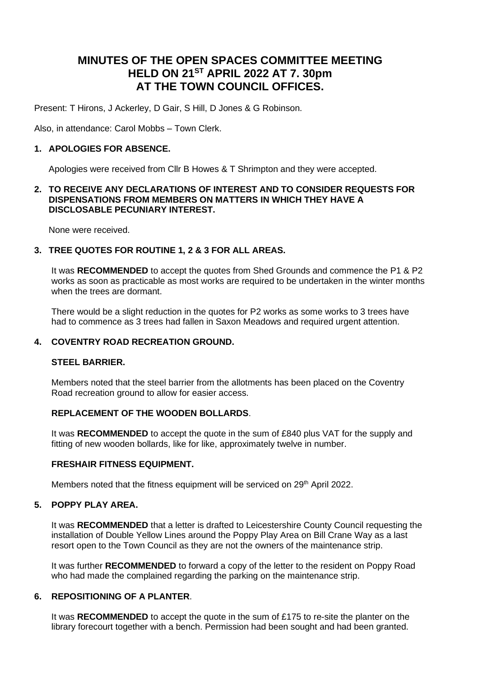# **MINUTES OF THE OPEN SPACES COMMITTEE MEETING HELD ON 21ST APRIL 2022 AT 7. 30pm AT THE TOWN COUNCIL OFFICES.**

Present: T Hirons, J Ackerley, D Gair, S Hill, D Jones & G Robinson.

Also, in attendance: Carol Mobbs – Town Clerk.

# **1. APOLOGIES FOR ABSENCE.**

Apologies were received from Cllr B Howes & T Shrimpton and they were accepted.

#### **2. TO RECEIVE ANY DECLARATIONS OF INTEREST AND TO CONSIDER REQUESTS FOR DISPENSATIONS FROM MEMBERS ON MATTERS IN WHICH THEY HAVE A DISCLOSABLE PECUNIARY INTEREST.**

None were received.

# **3. TREE QUOTES FOR ROUTINE 1, 2 & 3 FOR ALL AREAS.**

It was **RECOMMENDED** to accept the quotes from Shed Grounds and commence the P1 & P2 works as soon as practicable as most works are required to be undertaken in the winter months when the trees are dormant.

There would be a slight reduction in the quotes for P2 works as some works to 3 trees have had to commence as 3 trees had fallen in Saxon Meadows and required urgent attention.

# **4. COVENTRY ROAD RECREATION GROUND.**

# **STEEL BARRIER.**

Members noted that the steel barrier from the allotments has been placed on the Coventry Road recreation ground to allow for easier access.

# **REPLACEMENT OF THE WOODEN BOLLARDS**.

It was **RECOMMENDED** to accept the quote in the sum of £840 plus VAT for the supply and fitting of new wooden bollards, like for like, approximately twelve in number.

# **FRESHAIR FITNESS EQUIPMENT.**

Members noted that the fitness equipment will be serviced on 29<sup>th</sup> April 2022.

# **5. POPPY PLAY AREA.**

It was **RECOMMENDED** that a letter is drafted to Leicestershire County Council requesting the installation of Double Yellow Lines around the Poppy Play Area on Bill Crane Way as a last resort open to the Town Council as they are not the owners of the maintenance strip.

It was further **RECOMMENDED** to forward a copy of the letter to the resident on Poppy Road who had made the complained regarding the parking on the maintenance strip.

# **6. REPOSITIONING OF A PLANTER**.

It was **RECOMMENDED** to accept the quote in the sum of £175 to re-site the planter on the library forecourt together with a bench. Permission had been sought and had been granted.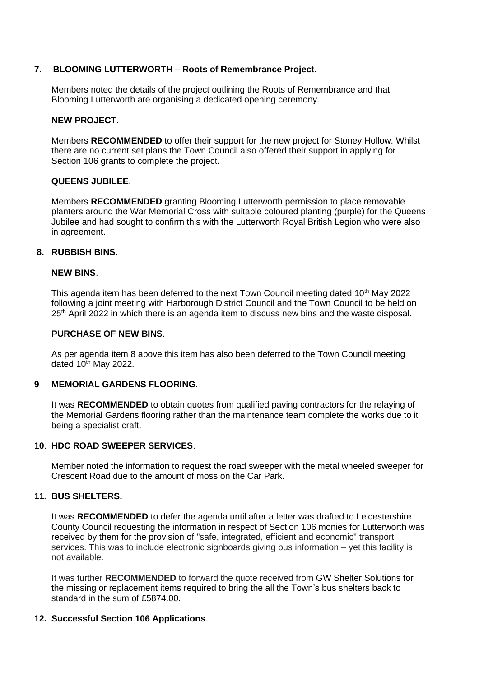# **7. BLOOMING LUTTERWORTH – Roots of Remembrance Project.**

Members noted the details of the project outlining the Roots of Remembrance and that Blooming Lutterworth are organising a dedicated opening ceremony.

#### **NEW PROJECT**.

Members **RECOMMENDED** to offer their support for the new project for Stoney Hollow. Whilst there are no current set plans the Town Council also offered their support in applying for Section 106 grants to complete the project.

# **QUEENS JUBILEE**.

Members **RECOMMENDED** granting Blooming Lutterworth permission to place removable planters around the War Memorial Cross with suitable coloured planting (purple) for the Queens Jubilee and had sought to confirm this with the Lutterworth Royal British Legion who were also in agreement.

#### **8. RUBBISH BINS.**

#### **NEW BINS**.

This agenda item has been deferred to the next Town Council meeting dated 10<sup>th</sup> May 2022 following a joint meeting with Harborough District Council and the Town Council to be held on 25<sup>th</sup> April 2022 in which there is an agenda item to discuss new bins and the waste disposal.

#### **PURCHASE OF NEW BINS**.

As per agenda item 8 above this item has also been deferred to the Town Council meeting dated  $10^{th}$  May 2022.

# **9 MEMORIAL GARDENS FLOORING.**

It was **RECOMMENDED** to obtain quotes from qualified paving contractors for the relaying of the Memorial Gardens flooring rather than the maintenance team complete the works due to it being a specialist craft.

# **10**. **HDC ROAD SWEEPER SERVICES**.

Member noted the information to request the road sweeper with the metal wheeled sweeper for Crescent Road due to the amount of moss on the Car Park.

# **11. BUS SHELTERS.**

It was **RECOMMENDED** to defer the agenda until after a letter was drafted to Leicestershire County Council requesting the information in respect of Section 106 monies for Lutterworth was received by them for the provision of "safe, integrated, efficient and economic" transport services. This was to include electronic signboards giving bus information – yet this facility is not available.

It was further **RECOMMENDED** to forward the quote received from GW Shelter Solutions for the missing or replacement items required to bring the all the Town's bus shelters back to standard in the sum of £5874.00.

# **12. Successful Section 106 Applications**.